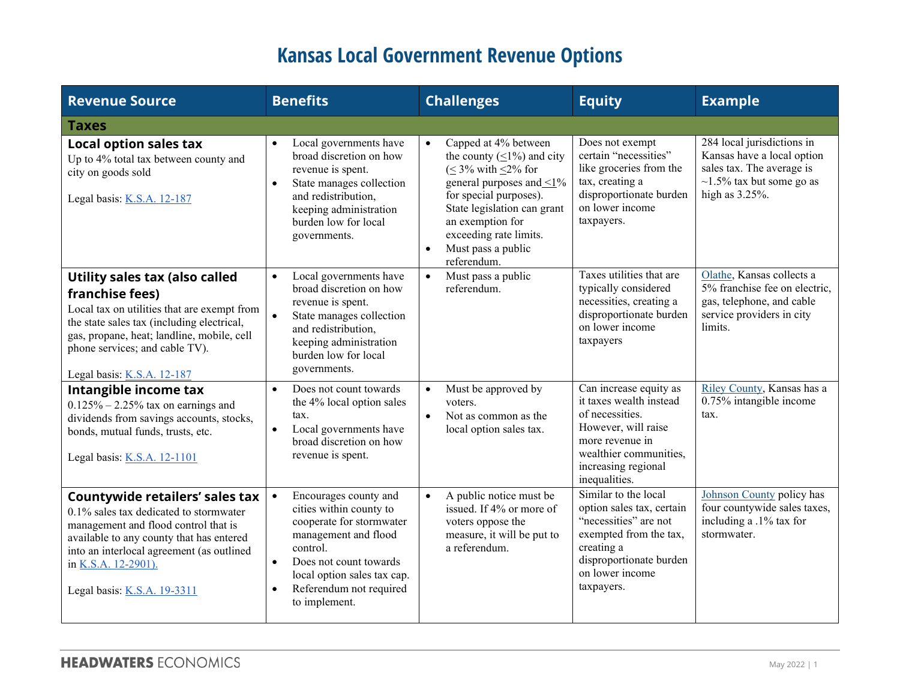## **Kansas Local Government Revenue Options**

| <b>Revenue Source</b>                                                                                                                                                                                                                                                          | <b>Benefits</b>                                                                                                                                                                                                                                              | <b>Challenges</b>                                                                                                                                                                                                                                                     | <b>Equity</b>                                                                                                                                                                    | <b>Example</b>                                                                                                                                |
|--------------------------------------------------------------------------------------------------------------------------------------------------------------------------------------------------------------------------------------------------------------------------------|--------------------------------------------------------------------------------------------------------------------------------------------------------------------------------------------------------------------------------------------------------------|-----------------------------------------------------------------------------------------------------------------------------------------------------------------------------------------------------------------------------------------------------------------------|----------------------------------------------------------------------------------------------------------------------------------------------------------------------------------|-----------------------------------------------------------------------------------------------------------------------------------------------|
| <b>Taxes</b>                                                                                                                                                                                                                                                                   |                                                                                                                                                                                                                                                              |                                                                                                                                                                                                                                                                       |                                                                                                                                                                                  |                                                                                                                                               |
| <b>Local option sales tax</b><br>Up to 4% total tax between county and<br>city on goods sold<br>Legal basis: K.S.A. 12-187                                                                                                                                                     | Local governments have<br>$\bullet$<br>broad discretion on how<br>revenue is spent.<br>State manages collection<br>$\bullet$<br>and redistribution,<br>keeping administration<br>burden low for local<br>governments.                                        | Capped at 4% between<br>the county $( \leq 1\%)$ and city<br>$( \leq 3\%$ with $\leq 2\%$ for<br>general purposes and <1%<br>for special purposes).<br>State legislation can grant<br>an exemption for<br>exceeding rate limits.<br>Must pass a public<br>referendum. | Does not exempt<br>certain "necessities"<br>like groceries from the<br>tax, creating a<br>disproportionate burden<br>on lower income<br>taxpayers.                               | 284 local jurisdictions in<br>Kansas have a local option<br>sales tax. The average is<br>$\sim$ 1.5% tax but some go as<br>high as $3.25\%$ . |
| Utility sales tax (also called<br>franchise fees)<br>Local tax on utilities that are exempt from<br>the state sales tax (including electrical,<br>gas, propane, heat; landline, mobile, cell<br>phone services; and cable TV).<br>Legal basis: K.S.A. 12-187                   | Local governments have<br>$\bullet$<br>broad discretion on how<br>revenue is spent.<br>State manages collection<br>$\bullet$<br>and redistribution,<br>keeping administration<br>burden low for local<br>governments.                                        | Must pass a public<br>$\bullet$<br>referendum.                                                                                                                                                                                                                        | Taxes utilities that are<br>typically considered<br>necessities, creating a<br>disproportionate burden<br>on lower income<br>taxpayers                                           | Olathe, Kansas collects a<br>5% franchise fee on electric,<br>gas, telephone, and cable<br>service providers in city<br>limits.               |
| Intangible income tax<br>$0.125\% - 2.25\%$ tax on earnings and<br>dividends from savings accounts, stocks,<br>bonds, mutual funds, trusts, etc.<br>Legal basis: K.S.A. 12-1101                                                                                                | Does not count towards<br>$\bullet$<br>the 4% local option sales<br>tax.<br>Local governments have<br>$\bullet$<br>broad discretion on how<br>revenue is spent.                                                                                              | Must be approved by<br>$\bullet$<br>voters.<br>Not as common as the<br>$\bullet$<br>local option sales tax.                                                                                                                                                           | Can increase equity as<br>it taxes wealth instead<br>of necessities.<br>However, will raise<br>more revenue in<br>wealthier communities,<br>increasing regional<br>inequalities. | Riley County, Kansas has a<br>0.75% intangible income<br>tax.                                                                                 |
| <b>Countywide retailers' sales tax</b><br>0.1% sales tax dedicated to stormwater<br>management and flood control that is<br>available to any county that has entered<br>into an interlocal agreement (as outlined<br>in K.S.A. 12-2901).<br>Legal basis: <u>K.S.A. 19-3311</u> | Encourages county and<br>$\bullet$<br>cities within county to<br>cooperate for stormwater<br>management and flood<br>control.<br>Does not count towards<br>$\bullet$<br>local option sales tax cap.<br>Referendum not required<br>$\bullet$<br>to implement. | A public notice must be<br>$\bullet$<br>issued. If 4% or more of<br>voters oppose the<br>measure, it will be put to<br>a referendum.                                                                                                                                  | Similar to the local<br>option sales tax, certain<br>"necessities" are not<br>exempted from the tax,<br>creating a<br>disproportionate burden<br>on lower income<br>taxpayers.   | Johnson County policy has<br>four countywide sales taxes,<br>including a .1% tax for<br>stormwater.                                           |